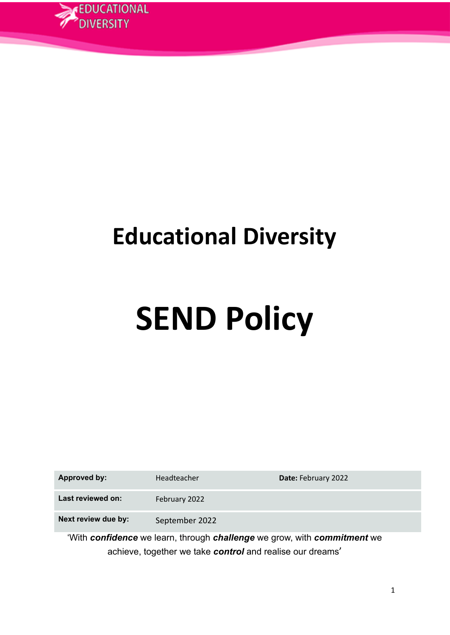

# **Educational Diversity**

# **SEND Policy**

| Approved by:        | Headteacher    | Date: February 2022 |
|---------------------|----------------|---------------------|
| Last reviewed on:   | February 2022  |                     |
| Next review due by: | September 2022 |                     |
| 1.1.1.1<br>-- -     |                | .<br>. .            |

'With *confidence* we learn, through *challenge* we grow, with *commitment* we achieve, together we take *control* and realise our dreams'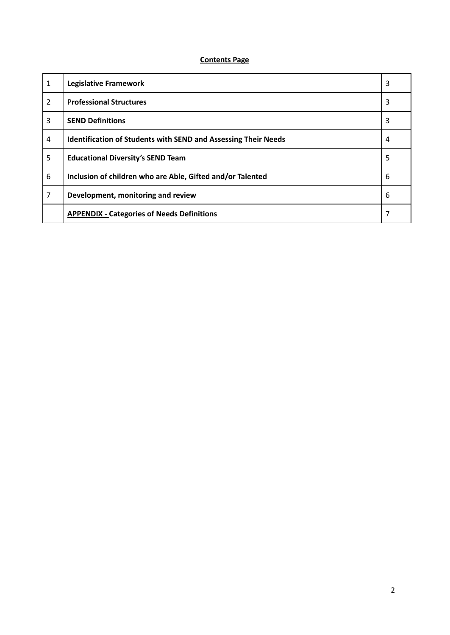### **Contents Page**

| 1              | <b>Legislative Framework</b>                                          | 3 |
|----------------|-----------------------------------------------------------------------|---|
| $\overline{2}$ | <b>Professional Structures</b>                                        | 3 |
| 3              | <b>SEND Definitions</b>                                               | 3 |
| 4              | <b>Identification of Students with SEND and Assessing Their Needs</b> | 4 |
| 5              | <b>Educational Diversity's SEND Team</b>                              | 5 |
| 6              | Inclusion of children who are Able, Gifted and/or Talented            | 6 |
| 7              | Development, monitoring and review                                    | 6 |
|                | <b>APPENDIX - Categories of Needs Definitions</b>                     |   |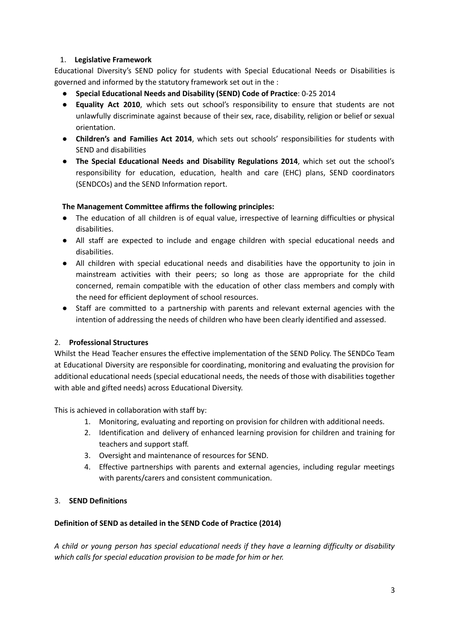# 1. **Legislative Framework**

Educational Diversity's SEND policy for students with Special Educational Needs or Disabilities is governed and informed by the statutory framework set out in the :

- **Special Educational Needs and Disability (SEND) Code of Practice**: 0-25 2014
- **Equality Act 2010**, which sets out school's responsibility to ensure that students are not unlawfully discriminate against because of their sex, race, disability, religion or belief or sexual orientation.
- **Children's and Families Act 2014**, which sets out schools' responsibilities for students with SEND and disabilities
- **The Special Educational Needs and Disability Regulations 2014**, which set out the school's responsibility for education, education, health and care (EHC) plans, SEND coordinators (SENDCOs) and the SEND Information report.

# **The Management Committee affirms the following principles:**

- The education of all children is of equal value, irrespective of learning difficulties or physical disabilities.
- All staff are expected to include and engage children with special educational needs and disabilities.
- All children with special educational needs and disabilities have the opportunity to join in mainstream activities with their peers; so long as those are appropriate for the child concerned, remain compatible with the education of other class members and comply with the need for efficient deployment of school resources.
- Staff are committed to a partnership with parents and relevant external agencies with the intention of addressing the needs of children who have been clearly identified and assessed.

# 2. **Professional Structures**

Whilst the Head Teacher ensures the effective implementation of the SEND Policy. The SENDCo Team at Educational Diversity are responsible for coordinating, monitoring and evaluating the provision for additional educational needs (special educational needs, the needs of those with disabilities together with able and gifted needs) across Educational Diversity.

This is achieved in collaboration with staff by:

- 1. Monitoring, evaluating and reporting on provision for children with additional needs.
- 2. Identification and delivery of enhanced learning provision for children and training for teachers and support staff.
- 3. Oversight and maintenance of resources for SEND.
- 4. Effective partnerships with parents and external agencies, including regular meetings with parents/carers and consistent communication.

# 3. **SEND Definitions**

# **Definition of SEND as detailed in the SEND Code of Practice (2014)**

*A child or young person has special educational needs if they have a learning difficulty or disability which calls for special education provision to be made for him or her.*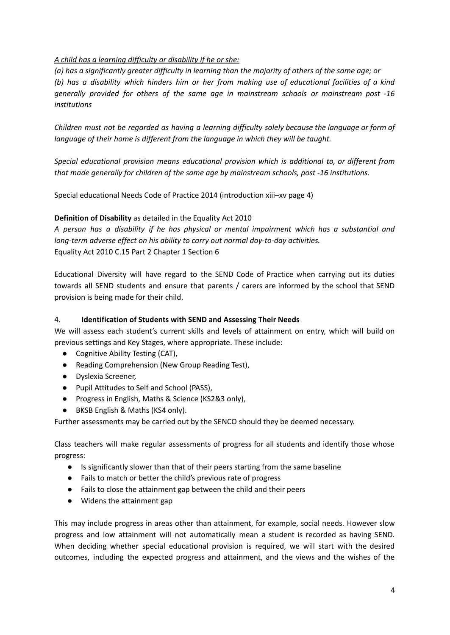# *A child has a learning difficulty or disability if he or she:*

(a) has a significantly greater difficulty in learning than the majority of others of the same age; or *(b) has a disability which hinders him or her from making use of educational facilities of a kind generally provided for others of the same age in mainstream schools or mainstream post -16 institutions*

*Children must not be regarded as having a learning difficulty solely because the language or form of language of their home is different from the language in which they will be taught.*

*Special educational provision means educational provision which is additional to, or different from that made generally for children of the same age by mainstream schools, post -16 institutions.*

Special educational Needs Code of Practice 2014 (introduction xiii–xv page 4)

# **Definition of Disability** as detailed in the Equality Act 2010

*A person has a disability if he has physical or mental impairment which has a substantial and long-term adverse effect on his ability to carry out normal day-to-day activities.* Equality Act 2010 C.15 Part 2 Chapter 1 Section 6

Educational Diversity will have regard to the SEND Code of Practice when carrying out its duties towards all SEND students and ensure that parents / carers are informed by the school that SEND provision is being made for their child.

# 4. **Identification of Students with SEND and Assessing Their Needs**

We will assess each student's current skills and levels of attainment on entry, which will build on previous settings and Key Stages, where appropriate. These include:

- Cognitive Ability Testing (CAT),
- Reading Comprehension (New Group Reading Test),
- Dyslexia Screener,
- Pupil Attitudes to Self and School (PASS),
- Progress in English, Maths & Science (KS2&3 only),
- BKSB English & Maths (KS4 only).

Further assessments may be carried out by the SENCO should they be deemed necessary.

Class teachers will make regular assessments of progress for all students and identify those whose progress:

- Is significantly slower than that of their peers starting from the same baseline
- Fails to match or better the child's previous rate of progress
- Fails to close the attainment gap between the child and their peers
- Widens the attainment gap

This may include progress in areas other than attainment, for example, social needs. However slow progress and low attainment will not automatically mean a student is recorded as having SEND. When deciding whether special educational provision is required, we will start with the desired outcomes, including the expected progress and attainment, and the views and the wishes of the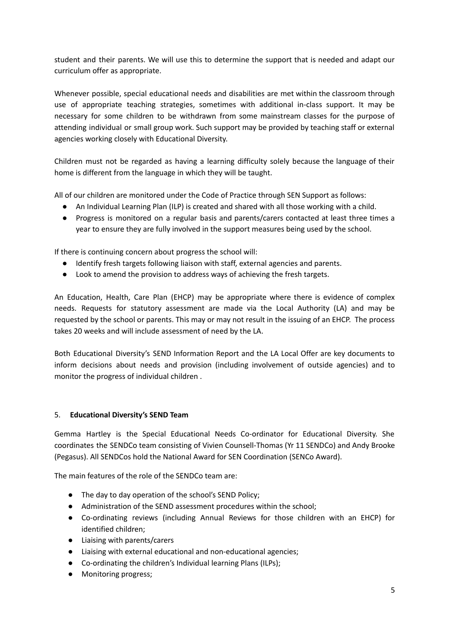student and their parents. We will use this to determine the support that is needed and adapt our curriculum offer as appropriate.

Whenever possible, special educational needs and disabilities are met within the classroom through use of appropriate teaching strategies, sometimes with additional in-class support. It may be necessary for some children to be withdrawn from some mainstream classes for the purpose of attending individual or small group work. Such support may be provided by teaching staff or external agencies working closely with Educational Diversity.

Children must not be regarded as having a learning difficulty solely because the language of their home is different from the language in which they will be taught.

All of our children are monitored under the Code of Practice through SEN Support as follows:

- An Individual Learning Plan (ILP) is created and shared with all those working with a child.
- Progress is monitored on a regular basis and parents/carers contacted at least three times a year to ensure they are fully involved in the support measures being used by the school.

If there is continuing concern about progress the school will:

- Identify fresh targets following liaison with staff, external agencies and parents.
- Look to amend the provision to address ways of achieving the fresh targets.

An Education, Health, Care Plan (EHCP) may be appropriate where there is evidence of complex needs. Requests for statutory assessment are made via the Local Authority (LA) and may be requested by the school or parents. This may or may not result in the issuing of an EHCP. The process takes 20 weeks and will include assessment of need by the LA.

Both Educational Diversity's SEND Information Report and the LA Local Offer are key documents to inform decisions about needs and provision (including involvement of outside agencies) and to monitor the progress of individual children .

# 5. **Educational Diversity's SEND Team**

Gemma Hartley is the Special Educational Needs Co-ordinator for Educational Diversity. She coordinates the SENDCo team consisting of Vivien Counsell-Thomas (Yr 11 SENDCo) and Andy Brooke (Pegasus). All SENDCos hold the National Award for SEN Coordination (SENCo Award).

The main features of the role of the SENDCo team are:

- The day to day operation of the school's SEND Policy;
- Administration of the SEND assessment procedures within the school;
- Co-ordinating reviews (including Annual Reviews for those children with an EHCP) for identified children;
- Liaising with parents/carers
- Liaising with external educational and non-educational agencies;
- Co-ordinating the children's Individual learning Plans (ILPs);
- Monitoring progress;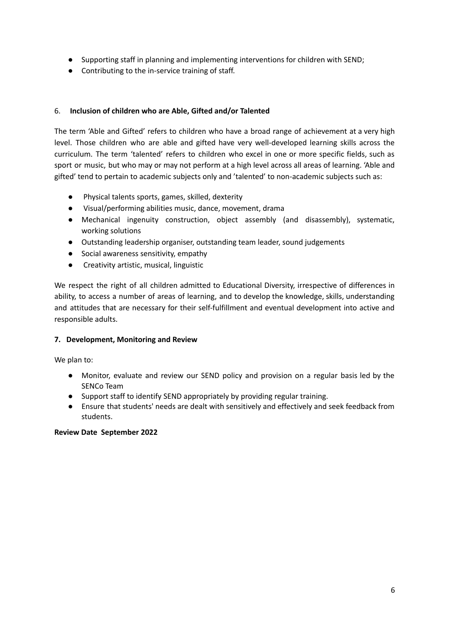- Supporting staff in planning and implementing interventions for children with SEND;
- Contributing to the in-service training of staff.

# 6. **Inclusion of children who are Able, Gifted and/or Talented**

The term 'Able and Gifted' refers to children who have a broad range of achievement at a very high level. Those children who are able and gifted have very well-developed learning skills across the curriculum. The term 'talented' refers to children who excel in one or more specific fields, such as sport or music, but who may or may not perform at a high level across all areas of learning. 'Able and gifted' tend to pertain to academic subjects only and 'talented' to non-academic subjects such as:

- Physical talents sports, games, skilled, dexterity
- Visual/performing abilities music, dance, movement, drama
- Mechanical ingenuity construction, object assembly (and disassembly), systematic, working solutions
- Outstanding leadership organiser, outstanding team leader, sound judgements
- Social awareness sensitivity, empathy
- Creativity artistic, musical, linguistic

We respect the right of all children admitted to Educational Diversity, irrespective of differences in ability, to access a number of areas of learning, and to develop the knowledge, skills, understanding and attitudes that are necessary for their self-fulfillment and eventual development into active and responsible adults.

# **7. Development, Monitoring and Review**

We plan to:

- Monitor, evaluate and review our SEND policy and provision on a regular basis led by the SENCo Team
- Support staff to identify SEND appropriately by providing regular training.
- Ensure that students' needs are dealt with sensitively and effectively and seek feedback from students.

#### **Review Date September 2022**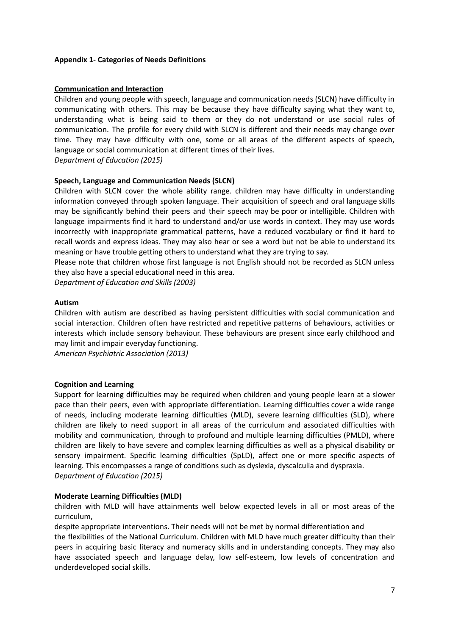#### **Appendix 1- Categories of Needs Definitions**

#### **Communication and Interaction**

Children and young people with speech, language and communication needs (SLCN) have difficulty in communicating with others. This may be because they have difficulty saying what they want to, understanding what is being said to them or they do not understand or use social rules of communication. The profile for every child with SLCN is different and their needs may change over time. They may have difficulty with one, some or all areas of the different aspects of speech, language or social communication at different times of their lives. *Department of Education (2015)*

#### **Speech, Language and Communication Needs (SLCN)**

Children with SLCN cover the whole ability range. children may have difficulty in understanding information conveyed through spoken language. Their acquisition of speech and oral language skills may be significantly behind their peers and their speech may be poor or intelligible. Children with language impairments find it hard to understand and/or use words in context. They may use words incorrectly with inappropriate grammatical patterns, have a reduced vocabulary or find it hard to recall words and express ideas. They may also hear or see a word but not be able to understand its meaning or have trouble getting others to understand what they are trying to say.

Please note that children whose first language is not English should not be recorded as SLCN unless they also have a special educational need in this area.

*Department of Education and Skills (2003)*

#### **Autism**

Children with autism are described as having persistent difficulties with social communication and social interaction. Children often have restricted and repetitive patterns of behaviours, activities or interests which include sensory behaviour. These behaviours are present since early childhood and may limit and impair everyday functioning.

*American Psychiatric Association (2013)*

#### **Cognition and Learning**

Support for learning difficulties may be required when children and young people learn at a slower pace than their peers, even with appropriate differentiation. Learning difficulties cover a wide range of needs, including moderate learning difficulties (MLD), severe learning difficulties (SLD), where children are likely to need support in all areas of the curriculum and associated difficulties with mobility and communication, through to profound and multiple learning difficulties (PMLD), where children are likely to have severe and complex learning difficulties as well as a physical disability or sensory impairment. Specific learning difficulties (SpLD), affect one or more specific aspects of learning. This encompasses a range of conditions such as dyslexia, dyscalculia and dyspraxia. *Department of Education (2015)*

#### **Moderate Learning Difficulties (MLD)**

children with MLD will have attainments well below expected levels in all or most areas of the curriculum,

despite appropriate interventions. Their needs will not be met by normal differentiation and

the flexibilities of the National Curriculum. Children with MLD have much greater difficulty than their peers in acquiring basic literacy and numeracy skills and in understanding concepts. They may also have associated speech and language delay, low self-esteem, low levels of concentration and underdeveloped social skills.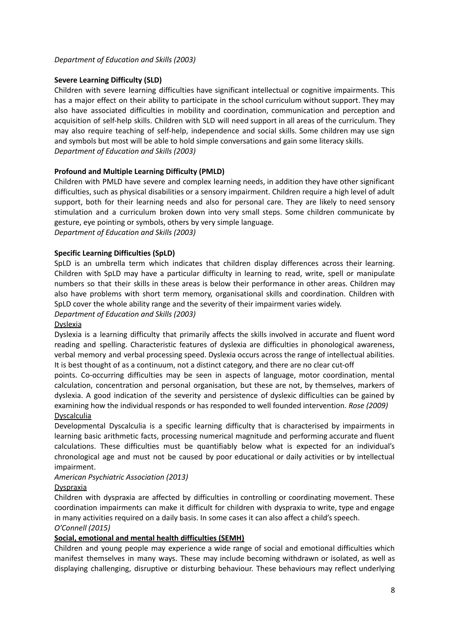# **Severe Learning Difficulty (SLD)**

Children with severe learning difficulties have significant intellectual or cognitive impairments. This has a major effect on their ability to participate in the school curriculum without support. They may also have associated difficulties in mobility and coordination, communication and perception and acquisition of self-help skills. Children with SLD will need support in all areas of the curriculum. They may also require teaching of self-help, independence and social skills. Some children may use sign and symbols but most will be able to hold simple conversations and gain some literacy skills. *Department of Education and Skills (2003)*

# **Profound and Multiple Learning Difficulty (PMLD)**

Children with PMLD have severe and complex learning needs, in addition they have other significant difficulties, such as physical disabilities or a sensory impairment. Children require a high level of adult support, both for their learning needs and also for personal care. They are likely to need sensory stimulation and a curriculum broken down into very small steps. Some children communicate by gesture, eye pointing or symbols, others by very simple language.

*Department of Education and Skills (2003)*

# **Specific Learning Difficulties (SpLD)**

SpLD is an umbrella term which indicates that children display differences across their learning. Children with SpLD may have a particular difficulty in learning to read, write, spell or manipulate numbers so that their skills in these areas is below their performance in other areas. Children may also have problems with short term memory, organisational skills and coordination. Children with SpLD cover the whole ability range and the severity of their impairment varies widely.

# *Department of Education and Skills (2003)*

#### Dyslexia

Dyslexia is a learning difficulty that primarily affects the skills involved in accurate and fluent word reading and spelling. Characteristic features of dyslexia are difficulties in phonological awareness, verbal memory and verbal processing speed. Dyslexia occurs across the range of intellectual abilities. It is best thought of as a continuum, not a distinct category, and there are no clear cut-off

points. Co-occurring difficulties may be seen in aspects of language, motor coordination, mental calculation, concentration and personal organisation, but these are not, by themselves, markers of dyslexia. A good indication of the severity and persistence of dyslexic difficulties can be gained by examining how the individual responds or has responded to well founded intervention. *Rose (2009)* **Dyscalculia** 

Developmental Dyscalculia is a specific learning difficulty that is characterised by impairments in learning basic arithmetic facts, processing numerical magnitude and performing accurate and fluent calculations. These difficulties must be quantifiably below what is expected for an individual's chronological age and must not be caused by poor educational or daily activities or by intellectual impairment.

# *American Psychiatric Association (2013)*

# **Dyspraxia**

Children with dyspraxia are affected by difficulties in controlling or coordinating movement. These coordination impairments can make it difficult for children with dyspraxia to write, type and engage in many activities required on a daily basis. In some cases it can also affect a child's speech. *O'Connell (2015)*

# **Social, emotional and mental health difficulties (SEMH)**

Children and young people may experience a wide range of social and emotional difficulties which manifest themselves in many ways. These may include becoming withdrawn or isolated, as well as displaying challenging, disruptive or disturbing behaviour. These behaviours may reflect underlying